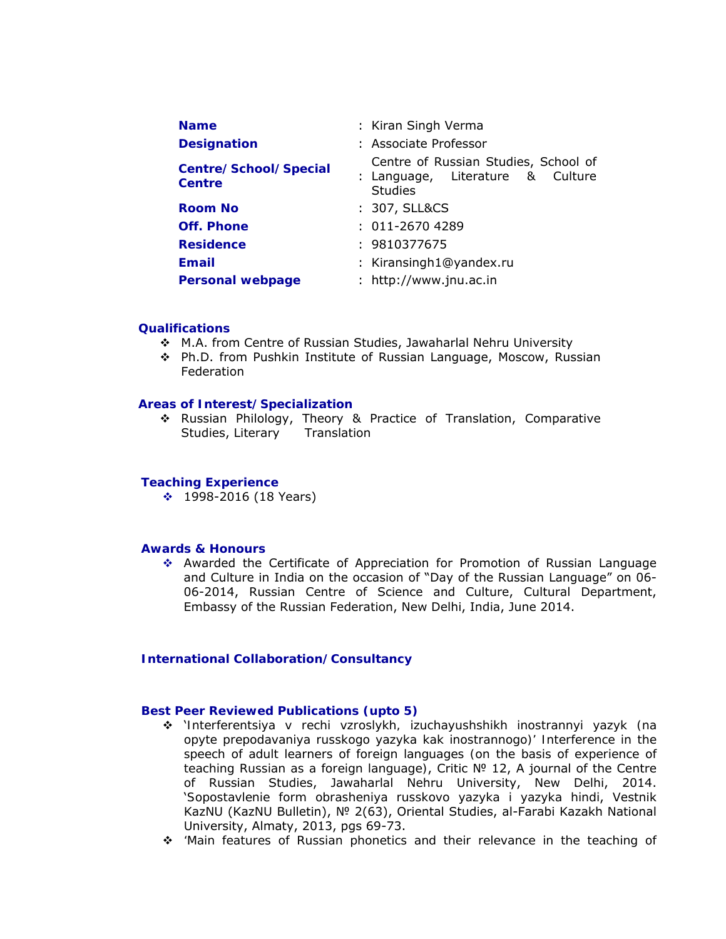| <b>Name</b>                                   | : Kiran Singh Verma                                                                        |
|-----------------------------------------------|--------------------------------------------------------------------------------------------|
| <b>Designation</b>                            | : Associate Professor                                                                      |
| <b>Centre/School/Special</b><br><b>Centre</b> | Centre of Russian Studies, School of<br>: Language, Literature & Culture<br><b>Studies</b> |
| Room No                                       | : 307, SLL&CS                                                                              |
| <b>Off. Phone</b>                             | $: 011 - 26704289$                                                                         |
| <b>Residence</b>                              | : 9810377675                                                                               |
| <b>Email</b>                                  | : Kiransingh1@yandex.ru                                                                    |
| <b>Personal webpage</b>                       | : http://www.jnu.ac.in                                                                     |

### **Qualifications**

- M.A. from Centre of Russian Studies, Jawaharlal Nehru University
- Ph.D. from Pushkin Institute of Russian Language, Moscow, Russian Federation

### **Areas of Interest/Specialization**

 Russian Philology, Theory & Practice of Translation, Comparative Studies, Literary Translation

#### **Teaching Experience**

 $\div$  1998-2016 (18 Years)

### **Awards & Honours**

 Awarded the Certificate of Appreciation for Promotion of Russian Language and Culture in India on the occasion of "Day of the Russian Language" on 06- 06-2014, Russian Centre of Science and Culture, Cultural Department, Embassy of the Russian Federation, New Delhi, India, June 2014.

## **International Collaboration/Consultancy**

#### **Best Peer Reviewed Publications (upto 5)**

- '*Interferentsiya v rechi vzroslykh, izuchayushshikh inostrannyi yazyk (na opyte prepodavaniya russkogo yazyka kak inostrannogo)' Interference in the*  speech of adult learners of foreign languages (on the basis of experience of *teaching Russian as a foreign language)*, Critic № 12, A journal of the Centre of Russian Studies, Jawaharlal Nehru University, New Delhi, 2014. '*Sopostavlenie form obrasheniya russkovo yazyka i yazyka hindi*, Vestnik KazNU (KazNU Bulletin), № 2(63), Oriental Studies, al-Farabi Kazakh National University, Almaty, 2013, pgs 69-73.
- *'Main features of Russian phonetics and their relevance in the teaching of*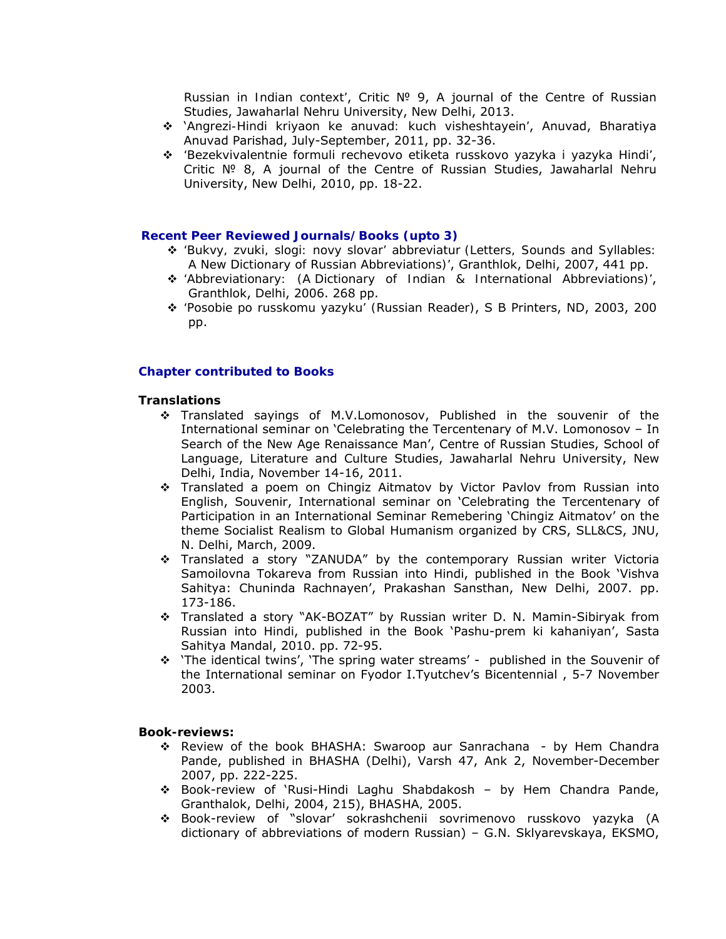*Russian in Indian context'*, Critic № 9, A journal of the Centre of Russian Studies, Jawaharlal Nehru University, New Delhi, 2013.

- '*Angrezi-Hindi kriyaon ke anuvad: kuch visheshtayein'*, Anuvad, Bharatiya Anuvad Parishad, July-September, 2011, pp. 32-36.
- *'Bezekvivalentnie formuli rechevovo etiketa russkovo yazyka i yazyka Hindi'*, Critic № 8, A journal of the Centre of Russian Studies, Jawaharlal Nehru University, New Delhi, 2010, pp. 18-22.

#### **Recent Peer Reviewed Journals/Books (upto 3)**

- *'Bukvy, zvuki, slogi: novy slovar' abbreviatur (Letters, Sounds and Syllables: A New Dictionary of Russian Abbreviations)'*, Granthlok, Delhi, 2007, 441 pp.
- *'Abbreviationary: (A Dictionary of Indian & International Abbreviations)'*, Granthlok, Delhi, 2006. 268 pp.
- *'Posobie po russkomu yazyku' (Russian Reader)*, S B Printers, ND, 2003, 200 pp.

### **Chapter contributed to Books**

#### **Translations**

- Translated sayings of M.V.Lomonosov, Published in the souvenir of the International seminar on 'Celebrating the Tercentenary of M.V. Lomonosov – In Search of the New Age Renaissance Man', Centre of Russian Studies, School of Language, Literature and Culture Studies, Jawaharlal Nehru University, New Delhi, India, November 14-16, 2011.
- Translated a poem on Chingiz Aitmatov by Victor Pavlov from Russian into English, Souvenir, International seminar on 'Celebrating the Tercentenary of Participation in an International Seminar Remebering 'Chingiz Aitmatov' on the theme Socialist Realism to Global Humanism organized by CRS, SLL&CS, JNU, N. Delhi, March, 2009.
- Translated a story "ZANUDA" by the contemporary Russian writer Victoria Samoilovna Tokareva from Russian into Hindi, published in the Book 'Vishva Sahitya: Chuninda Rachnayen', Prakashan Sansthan, New Delhi, 2007. pp. 173-186.
- Translated a story "AK-BOZAT" by Russian writer D. N. Mamin-Sibiryak from Russian into Hindi, published in the Book 'Pashu-prem ki kahaniyan', Sasta Sahitya Mandal, 2010. pp. 72-95.
- 'The identical twins', 'The spring water streams' published in the Souvenir of the International seminar on Fyodor I.Tyutchev's Bicentennial , 5-7 November 2003.

#### **Book-reviews:**

- Review of the book BHASHA: Swaroop aur Sanrachana by Hem Chandra Pande, published in BHASHA (Delhi), Varsh 47, Ank 2, November-December 2007, pp. 222-225.
- Book-review of 'Rusi-Hindi Laghu Shabdakosh by Hem Chandra Pande, Granthalok, Delhi, 2004, 215), *BHASHA,* 2005.
- Book-review of "slovar' sokrashchenii sovrimenovo russkovo yazyka (A dictionary of abbreviations of modern Russian) – G.N. Sklyarevskaya, EKSMO,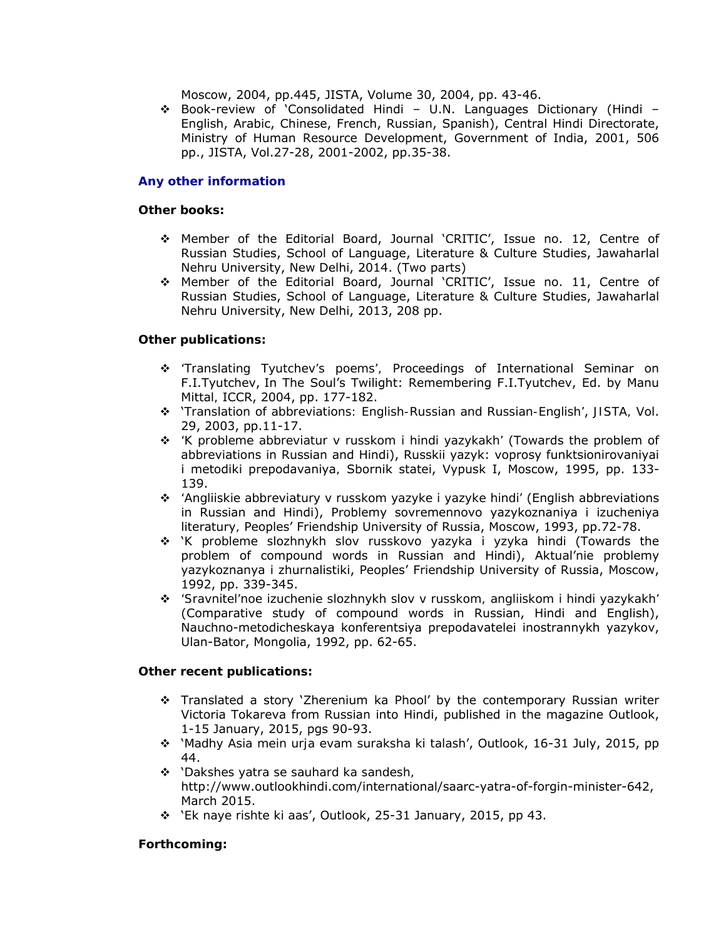Moscow, 2004, pp.445, JISTA, Volume 30, 2004, pp. 43-46.

 $\div$  Book-review of 'Consolidated Hindi – U.N. Languages Dictionary (Hindi – English, Arabic, Chinese, French, Russian, Spanish), Central Hindi Directorate, Ministry of Human Resource Development, Government of India, 2001, 506 pp., JISTA, Vol.27-28, 2001-2002, pp.35-38.

## **Any other information**

## **Other books:**

- Member of the Editorial Board, Journal 'CRITIC', Issue no. 12, Centre of Russian Studies, School of Language, Literature & Culture Studies, Jawaharlal Nehru University, New Delhi, 2014. (Two parts)
- Member of the Editorial Board, Journal 'CRITIC', Issue no. 11, Centre of Russian Studies, School of Language, Literature & Culture Studies, Jawaharlal Nehru University, New Delhi, 2013, 208 pp.

# **Other publications:**

- *'Translating Tyutchev's poems',* Proceedings of International Seminar on F.I.Tyutchev, In The Soul's Twilight: Remembering F.I.Tyutchev, Ed. by Manu Mittal*,* ICCR, 2004, pp. 177-182.
- '*Translation of abbreviations: English-Russian and Russian-English'*, *JISTA,* Vol. 29, 2003, pp.11-17.
- *'K probleme abbreviatur v russkom i hindi yazykakh'* (Towards the problem of abbreviations in Russian and Hindi), Russkii yazyk: voprosy funktsionirovaniyai i metodiki prepodavaniya*,* Sbornik statei, Vypusk I, Moscow, 1995, pp. 133- 139.
- *'Angliiskie abbreviatury v russkom yazyke i yazyke hindi'* (English abbreviations in Russian and Hindi), Problemy sovremennovo yazykoznaniya i izucheniya literatury*,* Peoples' Friendship University of Russia, Moscow, 1993, pp.72-78.
- '*K probleme slozhnykh slov russkovo yazyka i yzyka hindi* (Towards the problem of compound words in Russian and Hindi), Aktual'nie problemy yazykoznanya i zhurnalistiki, Peoples' Friendship University of Russia, Moscow, 1992, pp. 339-345.
- *'Sravnitel'noe izuchenie slozhnykh slov v russkom, angliiskom i hindi yazykakh'* (Comparative study of compound words in Russian, Hindi and English), Nauchno-metodicheskaya konferentsiya prepodavatelei inostrannykh yazykov, Ulan-Bator, Mongolia, 1992, pp. 62-65.

## **Other recent publications:**

- Translated a story 'Zherenium ka Phool' by the contemporary Russian writer Victoria Tokareva from Russian into Hindi, published in the magazine Outlook, 1-15 January, 2015, pgs 90-93.
- '*Madhy Asia mein urja evam suraksha ki talash*', Outlook, 16-31 July, 2015, pp 44.
- '*Dakshes yatra se sauhard ka sandesh,* http://www.outlookhindi.com/international/saarc-yatra-of-forgin-minister-642, March 2015.
- '*Ek naye rishte ki aas*', Outlook, 25-31 January, 2015, pp 43.

# **Forthcoming:**